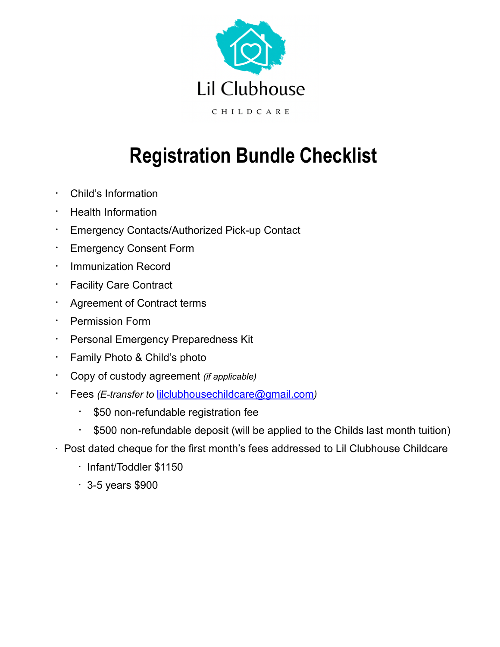

# **Registration Bundle Checklist**

- Child's Information
- Health Information
- Emergency Contacts/Authorized Pick-up Contact
- **Emergency Consent Form**
- Immunization Record
- Facility Care Contract
- Agreement of Contract terms
- Permission Form
- Personal Emergency Preparedness Kit
- Family Photo & Child's photo
- Copy of custody agreement *(if applicable)*
- Fees *(E-transfer to* [lilclubhousechildcare@gmail.com](mailto:lilclubhousechildcare@gmail.com)*)*
	- \$50 non-refundable registration fee
	- \$500 non-refundable deposit (will be applied to the Childs last month tuition)
- Post dated cheque for the first month's fees addressed to Lil Clubhouse Childcare
	- Infant/Toddler \$1150
	- $\cdot$  3-5 years \$900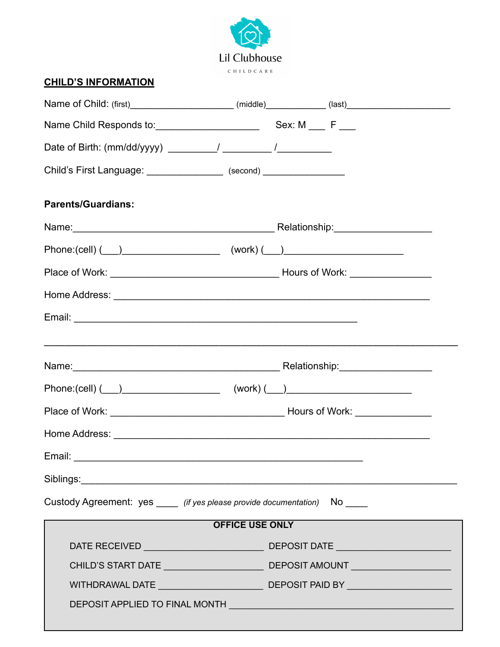

#### **CHILD'S INFORMATION**

| Child's First Language: ________________ (second) _________________         |                        |  |
|-----------------------------------------------------------------------------|------------------------|--|
| <b>Parents/Guardians:</b>                                                   |                        |  |
|                                                                             |                        |  |
|                                                                             |                        |  |
|                                                                             |                        |  |
|                                                                             |                        |  |
|                                                                             |                        |  |
|                                                                             |                        |  |
|                                                                             |                        |  |
|                                                                             |                        |  |
|                                                                             |                        |  |
|                                                                             |                        |  |
|                                                                             |                        |  |
|                                                                             |                        |  |
| Custody Agreement: yes _____ (if yes please provide documentation) No _____ |                        |  |
|                                                                             | <b>OFFICE USE ONLY</b> |  |
|                                                                             |                        |  |
|                                                                             |                        |  |
|                                                                             |                        |  |
|                                                                             |                        |  |
|                                                                             |                        |  |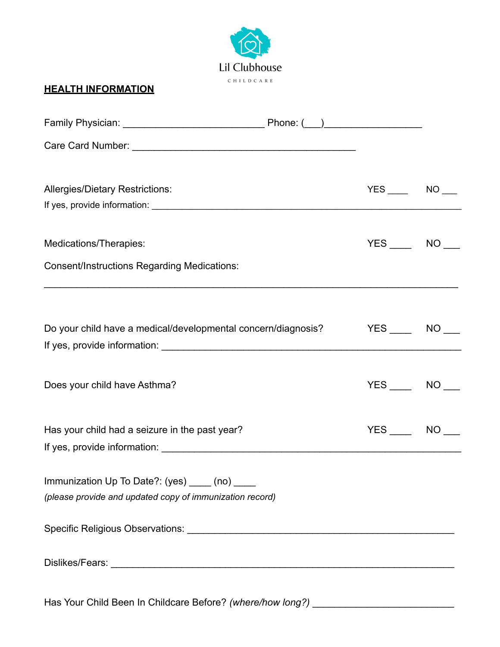

#### **HEALTH INFORMATION**

| <b>Allergies/Dietary Restrictions:</b>                                                                     | $YES$ NO $\_$   |  |
|------------------------------------------------------------------------------------------------------------|-----------------|--|
| Medications/Therapies:                                                                                     | $YES$ NO $\_\_$ |  |
| <b>Consent/Instructions Regarding Medications:</b>                                                         |                 |  |
| Do your child have a medical/developmental concern/diagnosis? The Summark of NO                            |                 |  |
| Does your child have Asthma?                                                                               | $YES$ NO $\_\_$ |  |
| Has your child had a seizure in the past year?                                                             | $YES$ NO ___    |  |
| Immunization Up To Date?: (yes) ____ (no) ____<br>(please provide and updated copy of immunization record) |                 |  |
|                                                                                                            |                 |  |
|                                                                                                            |                 |  |

Has Your Child Been In Childcare Before? *(where/how long?)* \_\_\_\_\_\_\_\_\_\_\_\_\_\_\_\_\_\_\_\_\_\_\_\_\_\_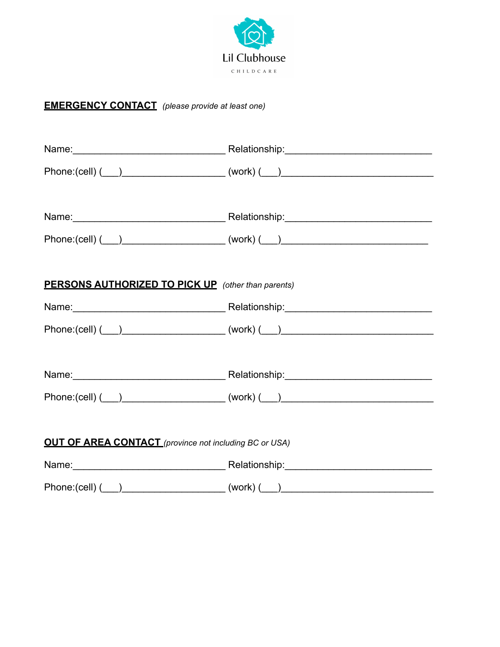

#### **EMERGENCY CONTACT** *(please provide at least one)*

|                                                                                  | Phone:(cell) ( __ ) ______________________(work) ( __ ) ________________________                                                                                                                                                    |
|----------------------------------------------------------------------------------|-------------------------------------------------------------------------------------------------------------------------------------------------------------------------------------------------------------------------------------|
|                                                                                  |                                                                                                                                                                                                                                     |
|                                                                                  |                                                                                                                                                                                                                                     |
|                                                                                  | Phone:(cell) (___)_______________________(work) (___)___________________________                                                                                                                                                    |
|                                                                                  |                                                                                                                                                                                                                                     |
| <b>PERSONS AUTHORIZED TO PICK UP</b> (other than parents)                        |                                                                                                                                                                                                                                     |
|                                                                                  |                                                                                                                                                                                                                                     |
|                                                                                  | $Phone: (cell)$ $($ $)$ $($ $($ $)$ $($ $)$ $($ $)$ $($ $)$ $($ $)$ $($ $)$ $($ $)$ $($ $)$ $($ $)$ $($ $)$ $($ $)$ $($ $)$ $($ $)$ $($ $)$ $($ $)$ $($ $)$ $($ $)$ $($ $)$ $($ $)$ $($ $)$ $($ $)$ $($ $)$ $($ $)$ $($ $)$ $($ $)$ |
|                                                                                  |                                                                                                                                                                                                                                     |
|                                                                                  | Name: Name: Name: Name: Name: Name: Name: Name: Name: Name: Name: Name: Name: Name: Name: Name: Name: Name: Name: Name: Name: Name: Name: Name: Name: Name: Name: Name: Name: Name: Name: Name: Name: Name: Name: Name: Name:       |
|                                                                                  | Phone:(cell) (___)_______________________(work) (___)___________________________                                                                                                                                                    |
|                                                                                  |                                                                                                                                                                                                                                     |
| <b>OUT OF AREA CONTACT</b> (province not including BC or USA)                    |                                                                                                                                                                                                                                     |
|                                                                                  |                                                                                                                                                                                                                                     |
| Phone:(cell) (___)_______________________(work) (___)___________________________ |                                                                                                                                                                                                                                     |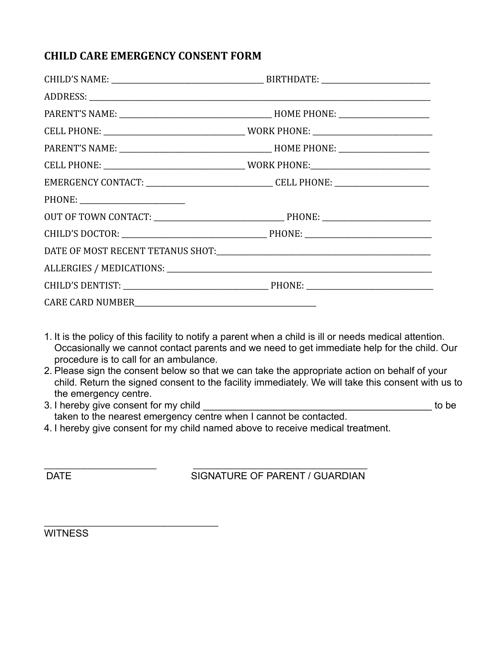#### **CHILD CARE EMERGENCY CONSENT FORM**

| EMERGENCY CONTACT: __________________________________CELL PHONE: ________________ |  |  |
|-----------------------------------------------------------------------------------|--|--|
|                                                                                   |  |  |
|                                                                                   |  |  |
|                                                                                   |  |  |
|                                                                                   |  |  |
|                                                                                   |  |  |
|                                                                                   |  |  |
|                                                                                   |  |  |
|                                                                                   |  |  |

- 1. It is the policy of this facility to notify a parent when a child is ill or needs medical attention. Occasionally we cannot contact parents and we need to get immediate help for the child. Our procedure is to call for an ambulance.
- 2. Please sign the consent below so that we can take the appropriate action on behalf of your child. Return the signed consent to the facility immediately. We will take this consent with us to the emergency centre.
- 3. I hereby give consent for my child  $\blacksquare$ taken to the nearest emergency centre when I cannot be contacted.
- 4. I hereby give consent for my child named above to receive medical treatment.

\_\_\_\_\_\_\_\_\_\_\_\_\_\_\_\_\_\_\_\_\_\_\_\_\_\_\_\_\_\_\_ \_\_\_\_\_\_\_\_\_\_\_\_\_\_\_\_\_\_\_\_\_\_\_\_\_\_\_\_\_\_\_\_\_\_\_\_\_\_\_\_\_\_\_\_\_\_\_\_

DATE SIGNATURE OF PARENT / GUARDIAN

**WITNESS** 

\_\_\_\_\_\_\_\_\_\_\_\_\_\_\_\_\_\_\_\_\_\_\_\_\_\_\_\_\_\_\_\_\_\_\_\_\_\_\_\_\_\_\_\_\_\_\_\_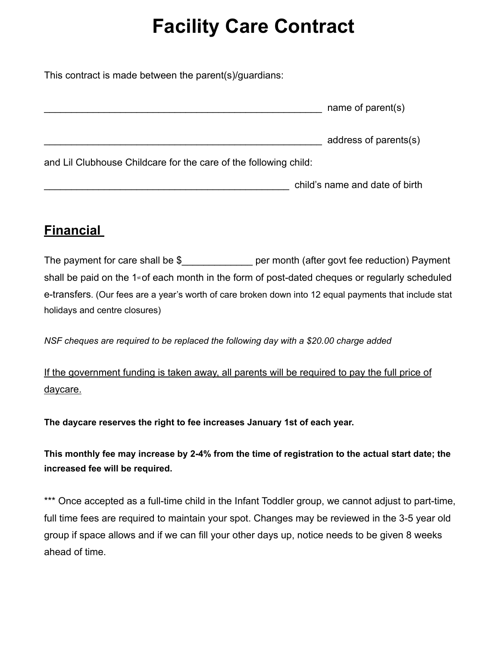# **Facility Care Contract**

This contract is made between the parent(s)/guardians:

|                                                                  | name of parent(s)              |
|------------------------------------------------------------------|--------------------------------|
|                                                                  | address of parents(s)          |
| and Lil Clubhouse Childcare for the care of the following child: |                                |
|                                                                  | child's name and date of birth |

### **Financial**

The payment for care shall be \$\_\_\_\_\_\_\_\_\_\_\_\_\_\_\_\_ per month (after govt fee reduction) Payment shall be paid on the  $1 \times$  of each month in the form of post-dated cheques or regularly scheduled e-transfers. (Our fees are a year's worth of care broken down into 12 equal payments that include stat holidays and centre closures)

*NSF cheques are required to be replaced the following day with a \$20.00 charge added* 

If the government funding is taken away, all parents will be required to pay the full price of daycare.

**The daycare reserves the right to fee increases January 1st of each year.** 

**This monthly fee may increase by 2-4% from the time of registration to the actual start date; the increased fee will be required.** 

\*\*\* Once accepted as a full-time child in the Infant Toddler group, we cannot adjust to part-time, full time fees are required to maintain your spot. Changes may be reviewed in the 3-5 year old group if space allows and if we can fill your other days up, notice needs to be given 8 weeks ahead of time.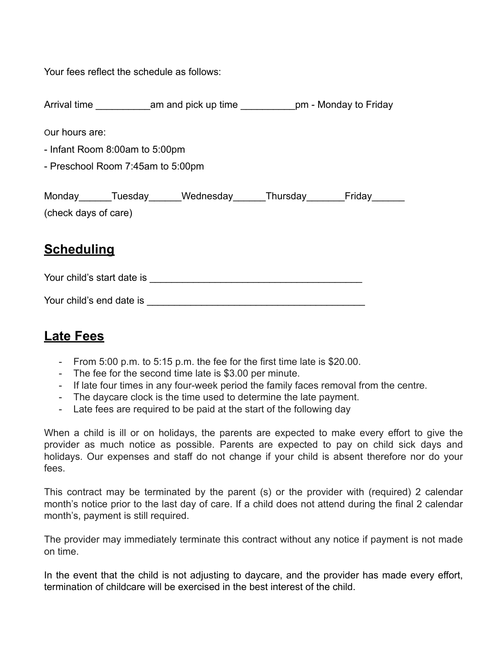Your fees reflect the schedule as follows:

| Arrival time | am and pick up time | pm - Monday to Friday |
|--------------|---------------------|-----------------------|
|              |                     |                       |

Our hours are:

- Infant Room 8:00am to 5:00pm
- Preschool Room 7:45am to 5:00pm

| Monday               | Tuesday | Wednesday | Thursday | Friday |
|----------------------|---------|-----------|----------|--------|
| (check days of care) |         |           |          |        |

### **Scheduling**

Your child's start date is \_\_\_\_\_\_\_\_\_\_\_\_\_\_\_\_\_\_\_\_\_\_\_\_\_\_\_\_\_\_\_\_\_\_\_\_\_\_\_

| Your child's end date is |  |
|--------------------------|--|
|                          |  |

### **Late Fees**

- From 5:00 p.m. to 5:15 p.m. the fee for the first time late is \$20.00.
- The fee for the second time late is \$3.00 per minute.
- If late four times in any four-week period the family faces removal from the centre.
- The daycare clock is the time used to determine the late payment.
- Late fees are required to be paid at the start of the following day

When a child is ill or on holidays, the parents are expected to make every effort to give the provider as much notice as possible. Parents are expected to pay on child sick days and holidays. Our expenses and staff do not change if your child is absent therefore nor do your fees.

This contract may be terminated by the parent (s) or the provider with (required) 2 calendar month's notice prior to the last day of care. If a child does not attend during the final 2 calendar month's, payment is still required.

The provider may immediately terminate this contract without any notice if payment is not made on time.

In the event that the child is not adjusting to daycare, and the provider has made every effort, termination of childcare will be exercised in the best interest of the child.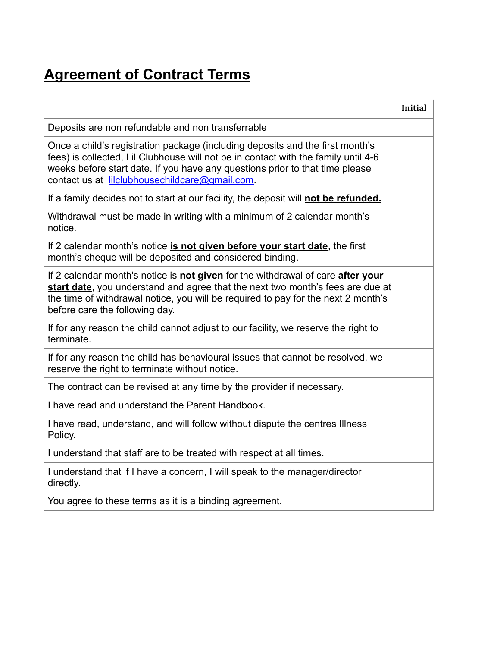## **Agreement of Contract Terms**

|                                                                                                                                                                                                                                                                                                       | <b>Initial</b> |
|-------------------------------------------------------------------------------------------------------------------------------------------------------------------------------------------------------------------------------------------------------------------------------------------------------|----------------|
| Deposits are non refundable and non transferrable                                                                                                                                                                                                                                                     |                |
| Once a child's registration package (including deposits and the first month's<br>fees) is collected, Lil Clubhouse will not be in contact with the family until 4-6<br>weeks before start date. If you have any questions prior to that time please<br>contact us at lilclubhousechildcare@gmail.com. |                |
| If a family decides not to start at our facility, the deposit will not be refunded.                                                                                                                                                                                                                   |                |
| Withdrawal must be made in writing with a minimum of 2 calendar month's<br>notice.                                                                                                                                                                                                                    |                |
| If 2 calendar month's notice is not given before your start date, the first<br>month's cheque will be deposited and considered binding.                                                                                                                                                               |                |
| If 2 calendar month's notice is not given for the withdrawal of care after your<br>start date, you understand and agree that the next two month's fees are due at<br>the time of withdrawal notice, you will be required to pay for the next 2 month's<br>before care the following day.              |                |
| If for any reason the child cannot adjust to our facility, we reserve the right to<br>terminate.                                                                                                                                                                                                      |                |
| If for any reason the child has behavioural issues that cannot be resolved, we<br>reserve the right to terminate without notice.                                                                                                                                                                      |                |
| The contract can be revised at any time by the provider if necessary.                                                                                                                                                                                                                                 |                |
| I have read and understand the Parent Handbook.                                                                                                                                                                                                                                                       |                |
| I have read, understand, and will follow without dispute the centres Illness<br>Policy.                                                                                                                                                                                                               |                |
| I understand that staff are to be treated with respect at all times.                                                                                                                                                                                                                                  |                |
| I understand that if I have a concern, I will speak to the manager/director<br>directly.                                                                                                                                                                                                              |                |
| You agree to these terms as it is a binding agreement.                                                                                                                                                                                                                                                |                |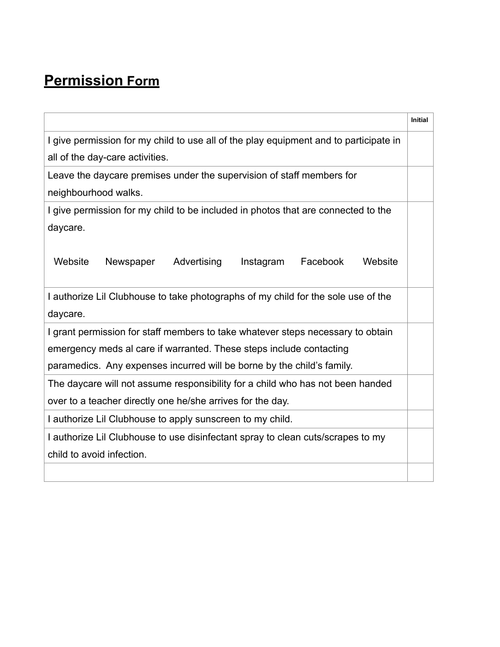## **Permission Form**

|                                                                                       | <b>Initial</b> |  |
|---------------------------------------------------------------------------------------|----------------|--|
| I give permission for my child to use all of the play equipment and to participate in |                |  |
| all of the day-care activities.                                                       |                |  |
| Leave the daycare premises under the supervision of staff members for                 |                |  |
| neighbourhood walks.                                                                  |                |  |
| I give permission for my child to be included in photos that are connected to the     |                |  |
| daycare.                                                                              |                |  |
|                                                                                       |                |  |
| Website<br>Advertising<br>Facebook<br>Website<br>Newspaper<br>Instagram               |                |  |
|                                                                                       |                |  |
| I authorize Lil Clubhouse to take photographs of my child for the sole use of the     |                |  |
| daycare.                                                                              |                |  |
| I grant permission for staff members to take whatever steps necessary to obtain       |                |  |
| emergency meds al care if warranted. These steps include contacting                   |                |  |
| paramedics. Any expenses incurred will be borne by the child's family.                |                |  |
| The daycare will not assume responsibility for a child who has not been handed        |                |  |
| over to a teacher directly one he/she arrives for the day.                            |                |  |
| I authorize Lil Clubhouse to apply sunscreen to my child.                             |                |  |
| I authorize Lil Clubhouse to use disinfectant spray to clean cuts/scrapes to my       |                |  |
| child to avoid infection.                                                             |                |  |
|                                                                                       |                |  |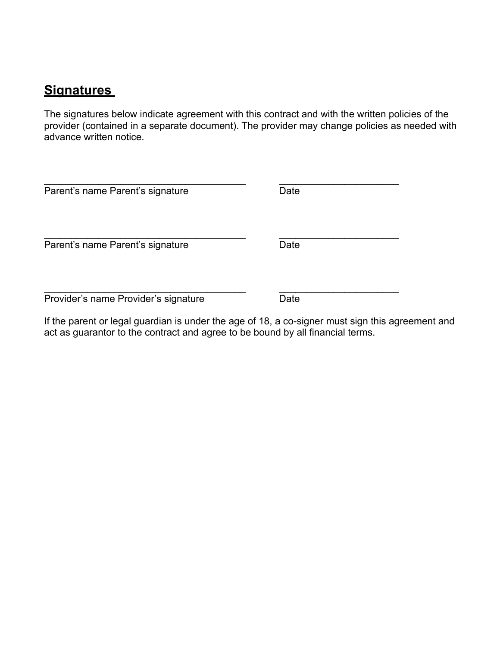#### **Signatures**

The signatures below indicate agreement with this contract and with the written policies of the provider (contained in a separate document). The provider may change policies as needed with advance written notice.

| Parent's name Parent's signature     | Date |  |
|--------------------------------------|------|--|
| Parent's name Parent's signature     | Date |  |
| Provider's name Provider's signature | Date |  |

If the parent or legal guardian is under the age of 18, a co-signer must sign this agreement and act as guarantor to the contract and agree to be bound by all financial terms.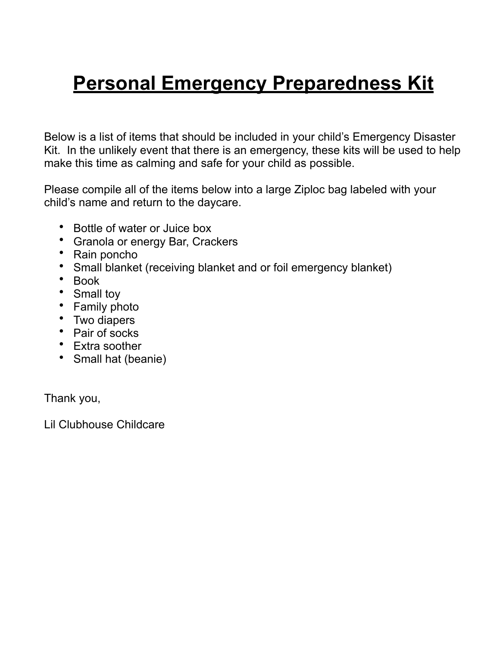# **Personal Emergency Preparedness Kit**

Below is a list of items that should be included in your child's Emergency Disaster Kit. In the unlikely event that there is an emergency, these kits will be used to help make this time as calming and safe for your child as possible.

Please compile all of the items below into a large Ziploc bag labeled with your child's name and return to the daycare.

- Bottle of water or Juice box
- Granola or energy Bar, Crackers
- Rain poncho
- Small blanket (receiving blanket and or foil emergency blanket)
- Book
- Small toy
- Family photo
- Two diapers
- Pair of socks
- Extra soother
- Small hat (beanie)

Thank you,

Lil Clubhouse Childcare